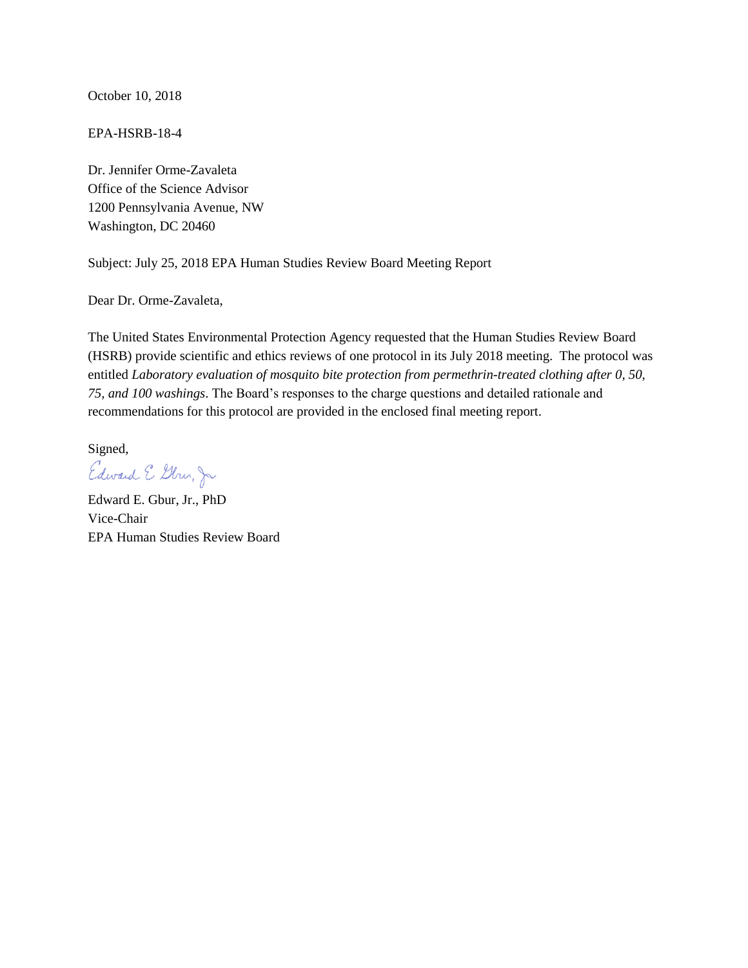October 10, 2018

EPA-HSRB-18-4

Dr. Jennifer Orme-Zavaleta Office of the Science Advisor 1200 Pennsylvania Avenue, NW Washington, DC 20460

Subject: July 25, 2018 EPA Human Studies Review Board Meeting Report

Dear Dr. Orme-Zavaleta,

The United States Environmental Protection Agency requested that the Human Studies Review Board (HSRB) provide scientific and ethics reviews of one protocol in its July 2018 meeting. The protocol was entitled *Laboratory evaluation of mosquito bite protection from permethrin-treated clothing after 0, 50, 75, and 100 washings*. The Board's responses to the charge questions and detailed rationale and recommendations for this protocol are provided in the enclosed final meeting report.

Signed, Edward E Gbru, Jr

Edward E. Gbur, Jr., PhD Vice-Chair EPA Human Studies Review Board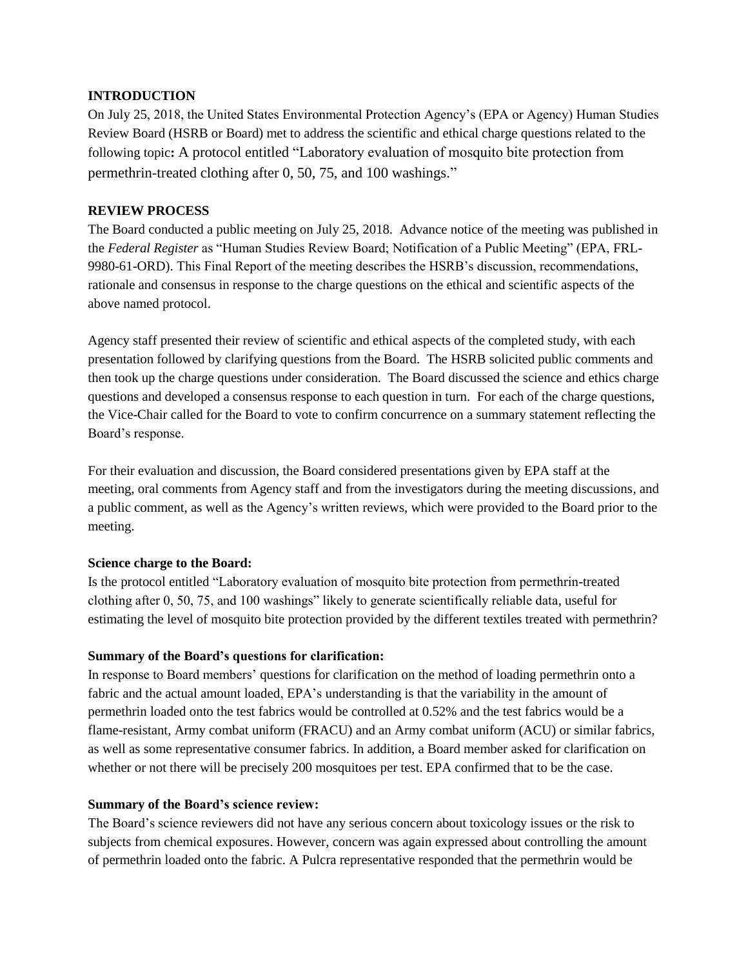### **INTRODUCTION**

On July 25, 2018, the United States Environmental Protection Agency's (EPA or Agency) Human Studies Review Board (HSRB or Board) met to address the scientific and ethical charge questions related to the following topic**:** A protocol entitled "Laboratory evaluation of mosquito bite protection from permethrin-treated clothing after 0, 50, 75, and 100 washings."

# **REVIEW PROCESS**

The Board conducted a public meeting on July 25, 2018. Advance notice of the meeting was published in the *Federal Register* as "Human Studies Review Board; Notification of a Public Meeting" (EPA, FRL-9980-61-ORD). This Final Report of the meeting describes the HSRB's discussion, recommendations, rationale and consensus in response to the charge questions on the ethical and scientific aspects of the above named protocol.

Agency staff presented their review of scientific and ethical aspects of the completed study, with each presentation followed by clarifying questions from the Board. The HSRB solicited public comments and then took up the charge questions under consideration. The Board discussed the science and ethics charge questions and developed a consensus response to each question in turn. For each of the charge questions, the Vice-Chair called for the Board to vote to confirm concurrence on a summary statement reflecting the Board's response.

For their evaluation and discussion, the Board considered presentations given by EPA staff at the meeting, oral comments from Agency staff and from the investigators during the meeting discussions, and a public comment, as well as the Agency's written reviews, which were provided to the Board prior to the meeting.

# **Science charge to the Board:**

Is the protocol entitled "Laboratory evaluation of mosquito bite protection from permethrin-treated clothing after 0, 50, 75, and 100 washings" likely to generate scientifically reliable data, useful for estimating the level of mosquito bite protection provided by the different textiles treated with permethrin?

# **Summary of the Board's questions for clarification:**

In response to Board members' questions for clarification on the method of loading permethrin onto a fabric and the actual amount loaded, EPA's understanding is that the variability in the amount of permethrin loaded onto the test fabrics would be controlled at 0.52% and the test fabrics would be a flame-resistant, Army combat uniform (FRACU) and an Army combat uniform (ACU) or similar fabrics, as well as some representative consumer fabrics. In addition, a Board member asked for clarification on whether or not there will be precisely 200 mosquitoes per test. EPA confirmed that to be the case.

# **Summary of the Board's science review:**

The Board's science reviewers did not have any serious concern about toxicology issues or the risk to subjects from chemical exposures. However, concern was again expressed about controlling the amount of permethrin loaded onto the fabric. A Pulcra representative responded that the permethrin would be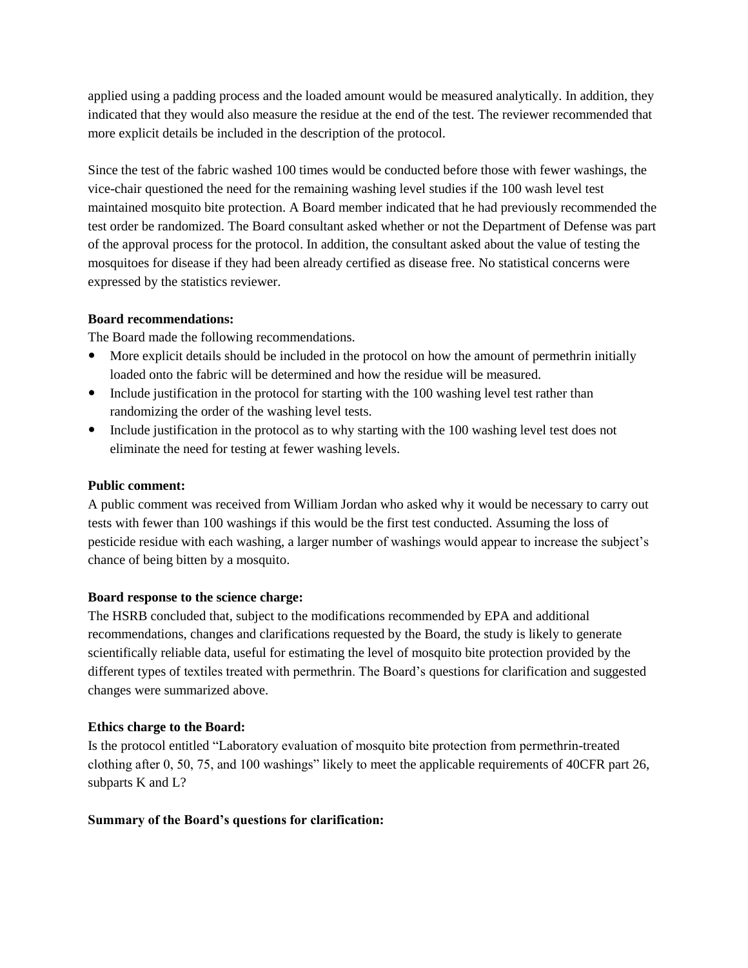applied using a padding process and the loaded amount would be measured analytically. In addition, they indicated that they would also measure the residue at the end of the test. The reviewer recommended that more explicit details be included in the description of the protocol.

Since the test of the fabric washed 100 times would be conducted before those with fewer washings, the vice-chair questioned the need for the remaining washing level studies if the 100 wash level test maintained mosquito bite protection. A Board member indicated that he had previously recommended the test order be randomized. The Board consultant asked whether or not the Department of Defense was part of the approval process for the protocol. In addition, the consultant asked about the value of testing the mosquitoes for disease if they had been already certified as disease free. No statistical concerns were expressed by the statistics reviewer.

### **Board recommendations:**

The Board made the following recommendations.

- More explicit details should be included in the protocol on how the amount of permethrin initially loaded onto the fabric will be determined and how the residue will be measured.
- Include justification in the protocol for starting with the 100 washing level test rather than randomizing the order of the washing level tests.
- Include justification in the protocol as to why starting with the 100 washing level test does not eliminate the need for testing at fewer washing levels.

### **Public comment:**

A public comment was received from William Jordan who asked why it would be necessary to carry out tests with fewer than 100 washings if this would be the first test conducted. Assuming the loss of pesticide residue with each washing, a larger number of washings would appear to increase the subject's chance of being bitten by a mosquito.

#### **Board response to the science charge:**

The HSRB concluded that, subject to the modifications recommended by EPA and additional recommendations, changes and clarifications requested by the Board, the study is likely to generate scientifically reliable data, useful for estimating the level of mosquito bite protection provided by the different types of textiles treated with permethrin. The Board's questions for clarification and suggested changes were summarized above.

#### **Ethics charge to the Board:**

Is the protocol entitled "Laboratory evaluation of mosquito bite protection from permethrin-treated clothing after 0, 50, 75, and 100 washings" likely to meet the applicable requirements of 40CFR part 26, subparts K and L?

#### **Summary of the Board's questions for clarification:**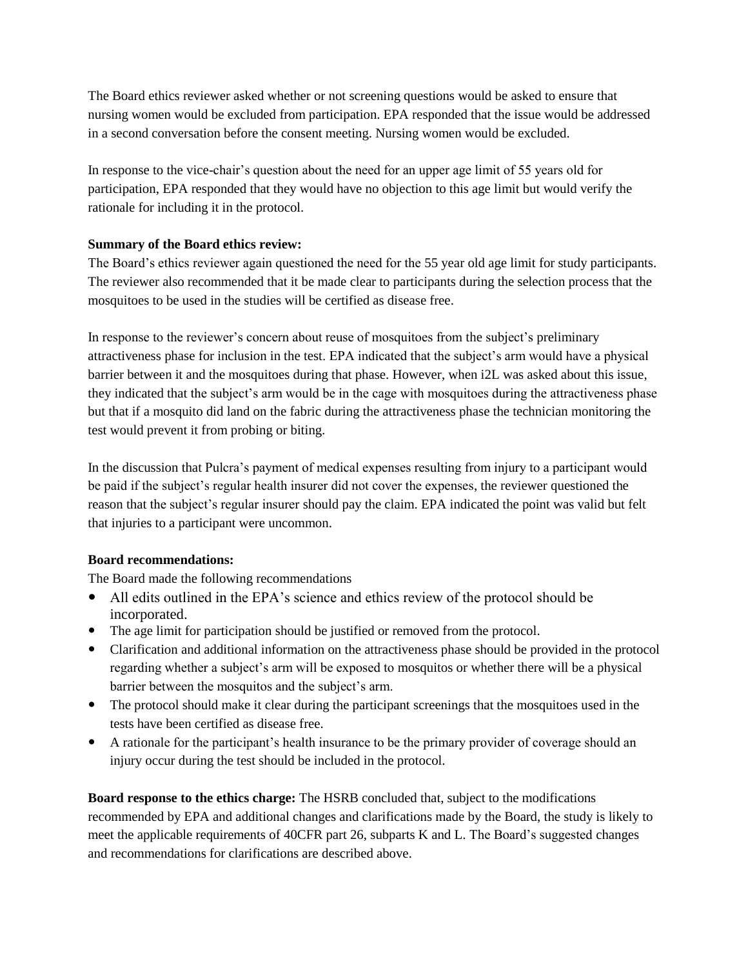The Board ethics reviewer asked whether or not screening questions would be asked to ensure that nursing women would be excluded from participation. EPA responded that the issue would be addressed in a second conversation before the consent meeting. Nursing women would be excluded.

In response to the vice-chair's question about the need for an upper age limit of 55 years old for participation, EPA responded that they would have no objection to this age limit but would verify the rationale for including it in the protocol.

# **Summary of the Board ethics review:**

The Board's ethics reviewer again questioned the need for the 55 year old age limit for study participants. The reviewer also recommended that it be made clear to participants during the selection process that the mosquitoes to be used in the studies will be certified as disease free.

In response to the reviewer's concern about reuse of mosquitoes from the subject's preliminary attractiveness phase for inclusion in the test. EPA indicated that the subject's arm would have a physical barrier between it and the mosquitoes during that phase. However, when i2L was asked about this issue, they indicated that the subject's arm would be in the cage with mosquitoes during the attractiveness phase but that if a mosquito did land on the fabric during the attractiveness phase the technician monitoring the test would prevent it from probing or biting.

In the discussion that Pulcra's payment of medical expenses resulting from injury to a participant would be paid if the subject's regular health insurer did not cover the expenses, the reviewer questioned the reason that the subject's regular insurer should pay the claim. EPA indicated the point was valid but felt that injuries to a participant were uncommon.

#### **Board recommendations:**

The Board made the following recommendations

- All edits outlined in the EPA's science and ethics review of the protocol should be incorporated.
- The age limit for participation should be justified or removed from the protocol.
- Clarification and additional information on the attractiveness phase should be provided in the protocol regarding whether a subject's arm will be exposed to mosquitos or whether there will be a physical barrier between the mosquitos and the subject's arm.
- The protocol should make it clear during the participant screenings that the mosquitoes used in the tests have been certified as disease free.
- A rationale for the participant's health insurance to be the primary provider of coverage should an injury occur during the test should be included in the protocol.

**Board response to the ethics charge:** The HSRB concluded that, subject to the modifications recommended by EPA and additional changes and clarifications made by the Board, the study is likely to meet the applicable requirements of 40CFR part 26, subparts K and L. The Board's suggested changes and recommendations for clarifications are described above.